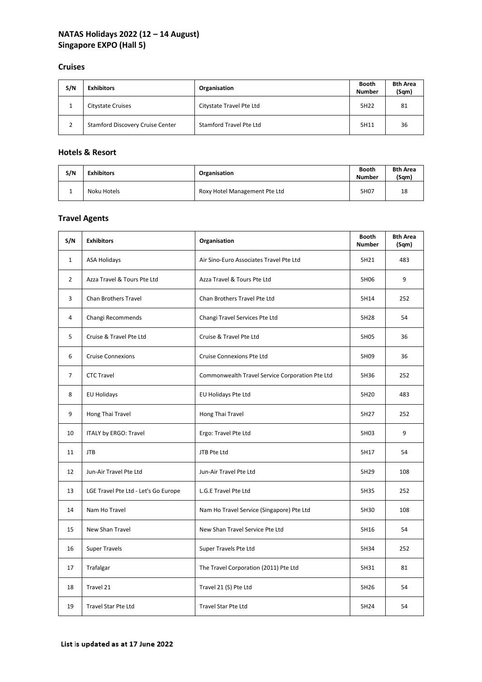# **NATAS Holidays 2022 (12 – 14 August) Singapore EXPO (Hall 5)**

#### **Cruises**

| S/N | <b>Exhibitors</b>                       | Organisation             | Booth<br><b>Number</b> | <b>Bth Area</b><br>(Sqm) |
|-----|-----------------------------------------|--------------------------|------------------------|--------------------------|
|     | Citystate Cruises                       | Citystate Travel Pte Ltd | 5H22                   | 81                       |
|     | <b>Stamford Discovery Cruise Center</b> | Stamford Travel Pte Ltd  | 5H11                   | 36                       |

#### **Hotels & Resort**

| S/N | <b>Exhibitors</b> | Organisation                  | <b>Booth</b><br>Number | <b>Bth Area</b><br>(Sgm) |
|-----|-------------------|-------------------------------|------------------------|--------------------------|
|     | Noku Hotels       | Roxy Hotel Management Pte Ltd | 5H07                   | 18                       |

# **Travel Agents**

| S/N            | <b>Exhibitors</b>                    | Organisation                                    | <b>Booth</b><br><b>Number</b> | <b>Bth Area</b><br>(Sqm) |
|----------------|--------------------------------------|-------------------------------------------------|-------------------------------|--------------------------|
| $\mathbf{1}$   | <b>ASA Holidays</b>                  | Air Sino-Euro Associates Travel Pte Ltd         | 5H21                          | 483                      |
| $\overline{2}$ | Azza Travel & Tours Pte Ltd          | Azza Travel & Tours Pte Ltd                     | 5H06                          | 9                        |
| 3              | <b>Chan Brothers Travel</b>          | Chan Brothers Travel Pte Ltd                    | 5H14                          | 252                      |
| 4              | Changi Recommends                    | Changi Travel Services Pte Ltd                  | 5H28                          | 54                       |
| 5              | Cruise & Travel Pte Ltd              | Cruise & Travel Pte Ltd                         | 5H05                          | 36                       |
| 6              | <b>Cruise Connexions</b>             | Cruise Connexions Pte Ltd                       | 5H09                          | 36                       |
| $\overline{7}$ | <b>CTC Travel</b>                    | Commonwealth Travel Service Corporation Pte Ltd | 5H36                          | 252                      |
| 8              | <b>EU Holidays</b>                   | EU Holidays Pte Ltd                             | 5H20                          | 483                      |
| 9              | Hong Thai Travel                     | Hong Thai Travel                                | 5H27                          | 252                      |
| 10             | ITALY by ERGO: Travel                | Ergo: Travel Pte Ltd                            | 5H03                          | 9                        |
| 11             | <b>JTB</b>                           | JTB Pte Ltd                                     | 5H17                          | 54                       |
| 12             | Jun-Air Travel Pte Ltd               | Jun-Air Travel Pte Ltd                          | 5H29                          | 108                      |
| 13             | LGE Travel Pte Ltd - Let's Go Europe | L.G.E Travel Pte Ltd                            | 5H35                          | 252                      |
| 14             | Nam Ho Travel                        | Nam Ho Travel Service (Singapore) Pte Ltd       | 5H30                          | 108                      |
| 15             | New Shan Travel                      | New Shan Travel Service Pte Ltd                 | 5H16                          | 54                       |
| 16             | <b>Super Travels</b>                 | Super Travels Pte Ltd                           | 5H34                          | 252                      |
| 17             | Trafalgar                            | The Travel Corporation (2011) Pte Ltd           | 5H31                          | 81                       |
| 18             | Travel 21                            | Travel 21 (S) Pte Ltd                           | 5H26                          | 54                       |
| 19             | <b>Travel Star Pte Ltd</b>           | <b>Travel Star Pte Ltd</b>                      | 5H24                          | 54                       |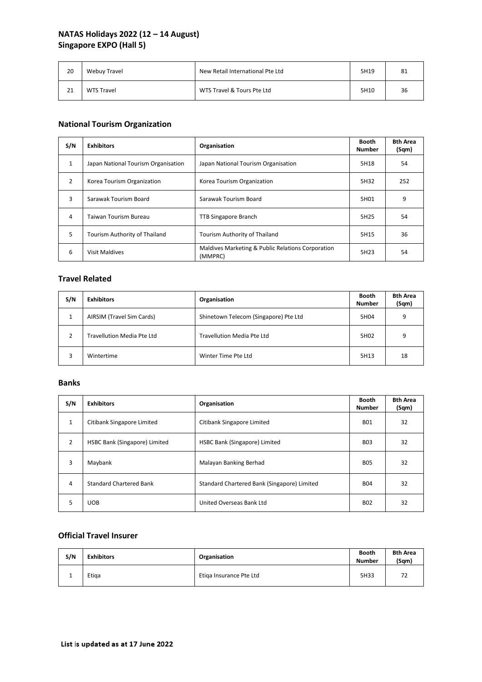# **NATAS Holidays 2022 (12 – 14 August) Singapore EXPO (Hall 5)**

| 20 | Webuy Travel      | New Retail International Pte Ltd | 5H19 | -81 |
|----|-------------------|----------------------------------|------|-----|
| 21 | <b>WTS Travel</b> | WTS Travel & Tours Pte Ltd       | 5H10 | 36  |

# **National Tourism Organization**

| S/N            | <b>Exhibitors</b>                   | Organisation                                                 | Booth<br><b>Number</b> | <b>Bth Area</b><br>(Sqm) |
|----------------|-------------------------------------|--------------------------------------------------------------|------------------------|--------------------------|
| $\mathbf{1}$   | Japan National Tourism Organisation | Japan National Tourism Organisation                          | 5H18                   | 54                       |
| $\overline{2}$ | Korea Tourism Organization          | Korea Tourism Organization                                   | 5H32                   | 252                      |
| 3              | Sarawak Tourism Board               | Sarawak Tourism Board                                        | 5H01                   | 9                        |
| 4              | Taiwan Tourism Bureau               | <b>TTB Singapore Branch</b>                                  | 5H25                   | 54                       |
| 5              | Tourism Authority of Thailand       | Tourism Authority of Thailand                                | 5H15                   | 36                       |
| 6              | <b>Visit Maldives</b>               | Maldives Marketing & Public Relations Corporation<br>(MMPRC) | 5H23                   | 54                       |

## **Travel Related**

| S/N | <b>Exhibitors</b>          | Organisation                          | <b>Booth</b><br><b>Number</b> | <b>Bth Area</b><br>(Sqm) |
|-----|----------------------------|---------------------------------------|-------------------------------|--------------------------|
|     | AIRSIM (Travel Sim Cards)  | Shinetown Telecom (Singapore) Pte Ltd | 5H04                          | q                        |
| 2   | Travellution Media Pte Ltd | Travellution Media Pte Ltd            | 5H <sub>02</sub>              | q                        |
| 3   | Wintertime                 | Winter Time Pte Ltd                   | 5H13                          | 18                       |

#### **Banks**

| S/N          | <b>Exhibitors</b>              | Organisation                                | <b>Booth</b><br><b>Number</b> | <b>Bth Area</b><br>(Sqm) |
|--------------|--------------------------------|---------------------------------------------|-------------------------------|--------------------------|
| $\mathbf{1}$ | Citibank Singapore Limited     | Citibank Singapore Limited                  | <b>B01</b>                    | 32                       |
| 2            | HSBC Bank (Singapore) Limited  | HSBC Bank (Singapore) Limited               | <b>B03</b>                    | 32                       |
| 3            | Maybank                        | Malayan Banking Berhad                      | <b>B05</b>                    | 32                       |
| 4            | <b>Standard Chartered Bank</b> | Standard Chartered Bank (Singapore) Limited | <b>B04</b>                    | 32                       |
| 5            | <b>UOB</b>                     | United Overseas Bank Ltd                    | <b>BO2</b>                    | 32                       |

## **Official Travel Insurer**

| S/N | <b>Exhibitors</b> | Organisation            | <b>Booth</b><br><b>Number</b> | <b>Bth Area</b><br>(Sqm) |
|-----|-------------------|-------------------------|-------------------------------|--------------------------|
|     | Etiga             | Etiga Insurance Pte Ltd | 5H33                          |                          |